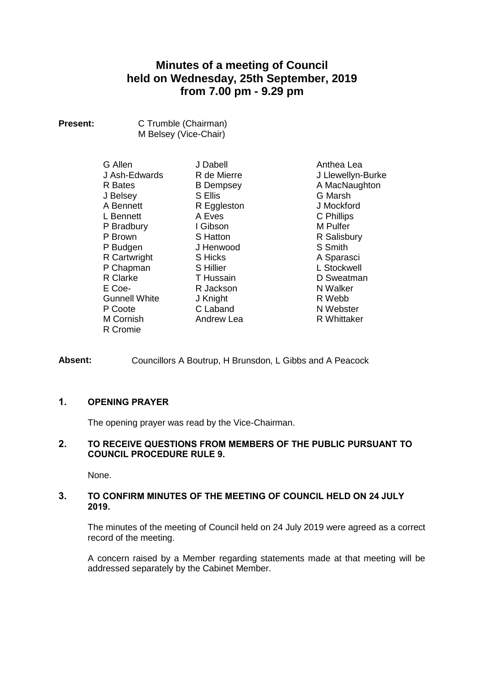# **Minutes of a meeting of Council held on Wednesday, 25th September, 2019 from 7.00 pm - 9.29 pm**

| <b>Present:</b> | C Trumble (Chairman)  |
|-----------------|-----------------------|
|                 | M Belsey (Vice-Chair) |

| G Allen              |
|----------------------|
| J Ash-Edwards        |
| R Bates              |
| J Belsey             |
| A Bennett            |
| L Bennett            |
| P Bradbury           |
| P Brown              |
| P Budgen             |
| R Cartwright         |
| P Chapman            |
| R Clarke             |
| E Coe-               |
| <b>Gunnell White</b> |
| P Coote              |
| M Cornish            |
| R Cromie             |

J Dabell R de Mierre B Dempsey S Ellis R Eggleston A Eves I Gibson S Hatton J Henwood S Hicks S Hillier T Hussain R Jackson J Knight C Laband Andrew Lea

Anthea Lea J Llewellyn-Burke A MacNaughton G Marsh J Mockford C Phillips M Pulfer R Salisbury S Smith A Sparasci L Stockwell D Sweatman N Walker R Webb N Webster R Whittaker

**Absent:** Councillors A Boutrup, H Brunsdon, L Gibbs and A Peacock

# **1. OPENING PRAYER**

The opening prayer was read by the Vice-Chairman.

# **2. TO RECEIVE QUESTIONS FROM MEMBERS OF THE PUBLIC PURSUANT TO COUNCIL PROCEDURE RULE 9.**

None.

# **3. TO CONFIRM MINUTES OF THE MEETING OF COUNCIL HELD ON 24 JULY 2019.**

The minutes of the meeting of Council held on 24 July 2019 were agreed as a correct record of the meeting.

A concern raised by a Member regarding statements made at that meeting will be addressed separately by the Cabinet Member.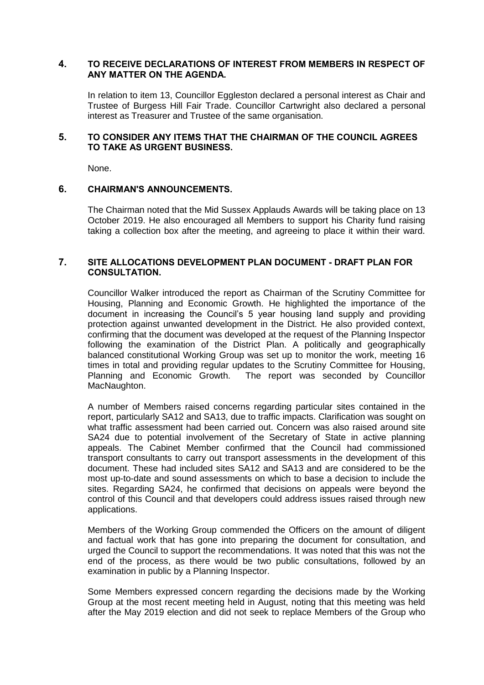# **4. TO RECEIVE DECLARATIONS OF INTEREST FROM MEMBERS IN RESPECT OF ANY MATTER ON THE AGENDA.**

In relation to item 13, Councillor Eggleston declared a personal interest as Chair and Trustee of Burgess Hill Fair Trade. Councillor Cartwright also declared a personal interest as Treasurer and Trustee of the same organisation.

# **5. TO CONSIDER ANY ITEMS THAT THE CHAIRMAN OF THE COUNCIL AGREES TO TAKE AS URGENT BUSINESS.**

None.

# **6. CHAIRMAN'S ANNOUNCEMENTS.**

The Chairman noted that the Mid Sussex Applauds Awards will be taking place on 13 October 2019. He also encouraged all Members to support his Charity fund raising taking a collection box after the meeting, and agreeing to place it within their ward.

# **7. SITE ALLOCATIONS DEVELOPMENT PLAN DOCUMENT - DRAFT PLAN FOR CONSULTATION.**

Councillor Walker introduced the report as Chairman of the Scrutiny Committee for Housing, Planning and Economic Growth. He highlighted the importance of the document in increasing the Council's 5 year housing land supply and providing protection against unwanted development in the District. He also provided context, confirming that the document was developed at the request of the Planning Inspector following the examination of the District Plan. A politically and geographically balanced constitutional Working Group was set up to monitor the work, meeting 16 times in total and providing regular updates to the Scrutiny Committee for Housing, Planning and Economic Growth. The report was seconded by Councillor MacNaughton.

A number of Members raised concerns regarding particular sites contained in the report, particularly SA12 and SA13, due to traffic impacts. Clarification was sought on what traffic assessment had been carried out. Concern was also raised around site SA24 due to potential involvement of the Secretary of State in active planning appeals. The Cabinet Member confirmed that the Council had commissioned transport consultants to carry out transport assessments in the development of this document. These had included sites SA12 and SA13 and are considered to be the most up-to-date and sound assessments on which to base a decision to include the sites. Regarding SA24, he confirmed that decisions on appeals were beyond the control of this Council and that developers could address issues raised through new applications.

Members of the Working Group commended the Officers on the amount of diligent and factual work that has gone into preparing the document for consultation, and urged the Council to support the recommendations. It was noted that this was not the end of the process, as there would be two public consultations, followed by an examination in public by a Planning Inspector.

Some Members expressed concern regarding the decisions made by the Working Group at the most recent meeting held in August, noting that this meeting was held after the May 2019 election and did not seek to replace Members of the Group who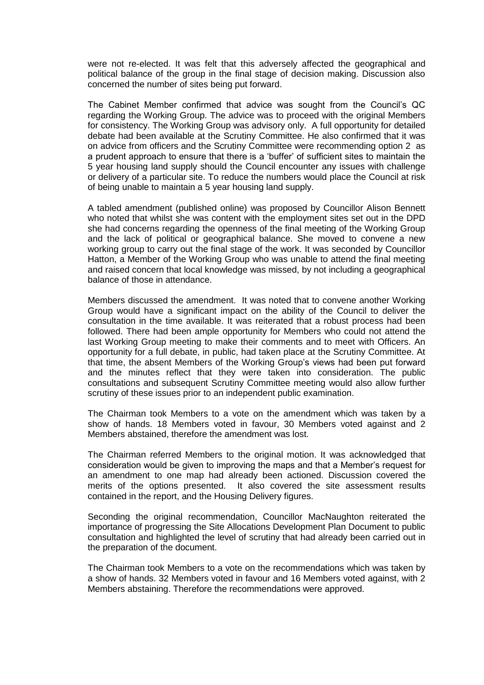were not re-elected. It was felt that this adversely affected the geographical and political balance of the group in the final stage of decision making. Discussion also concerned the number of sites being put forward.

The Cabinet Member confirmed that advice was sought from the Council's QC regarding the Working Group. The advice was to proceed with the original Members for consistency. The Working Group was advisory only. A full opportunity for detailed debate had been available at the Scrutiny Committee. He also confirmed that it was on advice from officers and the Scrutiny Committee were recommending option 2 as a prudent approach to ensure that there is a 'buffer' of sufficient sites to maintain the 5 year housing land supply should the Council encounter any issues with challenge or delivery of a particular site. To reduce the numbers would place the Council at risk of being unable to maintain a 5 year housing land supply.

A tabled amendment (published online) was proposed by Councillor Alison Bennett who noted that whilst she was content with the employment sites set out in the DPD she had concerns regarding the openness of the final meeting of the Working Group and the lack of political or geographical balance. She moved to convene a new working group to carry out the final stage of the work. It was seconded by Councillor Hatton, a Member of the Working Group who was unable to attend the final meeting and raised concern that local knowledge was missed, by not including a geographical balance of those in attendance.

Members discussed the amendment. It was noted that to convene another Working Group would have a significant impact on the ability of the Council to deliver the consultation in the time available. It was reiterated that a robust process had been followed. There had been ample opportunity for Members who could not attend the last Working Group meeting to make their comments and to meet with Officers. An opportunity for a full debate, in public, had taken place at the Scrutiny Committee. At that time, the absent Members of the Working Group's views had been put forward and the minutes reflect that they were taken into consideration. The public consultations and subsequent Scrutiny Committee meeting would also allow further scrutiny of these issues prior to an independent public examination.

The Chairman took Members to a vote on the amendment which was taken by a show of hands. 18 Members voted in favour, 30 Members voted against and 2 Members abstained, therefore the amendment was lost.

The Chairman referred Members to the original motion. It was acknowledged that consideration would be given to improving the maps and that a Member's request for an amendment to one map had already been actioned. Discussion covered the merits of the options presented. It also covered the site assessment results contained in the report, and the Housing Delivery figures.

Seconding the original recommendation, Councillor MacNaughton reiterated the importance of progressing the Site Allocations Development Plan Document to public consultation and highlighted the level of scrutiny that had already been carried out in the preparation of the document.

The Chairman took Members to a vote on the recommendations which was taken by a show of hands. 32 Members voted in favour and 16 Members voted against, with 2 Members abstaining. Therefore the recommendations were approved.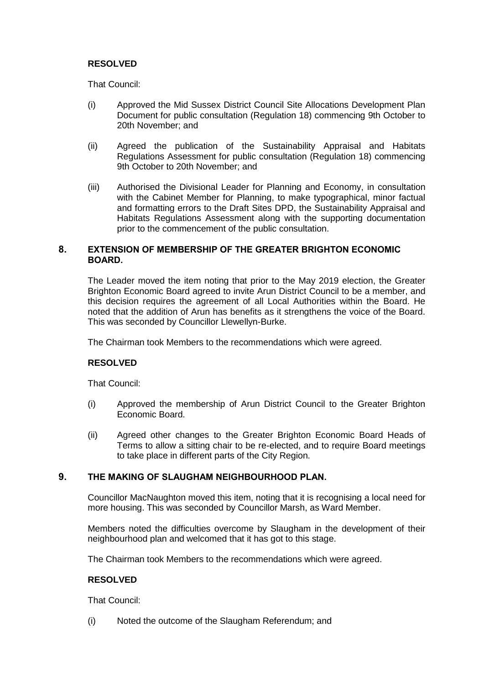# **RESOLVED**

That Council:

- (i) Approved the Mid Sussex District Council Site Allocations Development Plan Document for public consultation (Regulation 18) commencing 9th October to 20th November; and
- (ii) Agreed the publication of the Sustainability Appraisal and Habitats Regulations Assessment for public consultation (Regulation 18) commencing 9th October to 20th November; and
- (iii) Authorised the Divisional Leader for Planning and Economy, in consultation with the Cabinet Member for Planning, to make typographical, minor factual and formatting errors to the Draft Sites DPD, the Sustainability Appraisal and Habitats Regulations Assessment along with the supporting documentation prior to the commencement of the public consultation.

# **8. EXTENSION OF MEMBERSHIP OF THE GREATER BRIGHTON ECONOMIC BOARD.**

The Leader moved the item noting that prior to the May 2019 election, the Greater Brighton Economic Board agreed to invite Arun District Council to be a member, and this decision requires the agreement of all Local Authorities within the Board. He noted that the addition of Arun has benefits as it strengthens the voice of the Board. This was seconded by Councillor Llewellyn-Burke.

The Chairman took Members to the recommendations which were agreed.

# **RESOLVED**

That Council:

- (i) Approved the membership of Arun District Council to the Greater Brighton Economic Board.
- (ii) Agreed other changes to the Greater Brighton Economic Board Heads of Terms to allow a sitting chair to be re-elected, and to require Board meetings to take place in different parts of the City Region.

# **9. THE MAKING OF SLAUGHAM NEIGHBOURHOOD PLAN.**

Councillor MacNaughton moved this item, noting that it is recognising a local need for more housing. This was seconded by Councillor Marsh, as Ward Member.

Members noted the difficulties overcome by Slaugham in the development of their neighbourhood plan and welcomed that it has got to this stage.

The Chairman took Members to the recommendations which were agreed.

# **RESOLVED**

That Council:

(i) Noted the outcome of the Slaugham Referendum; and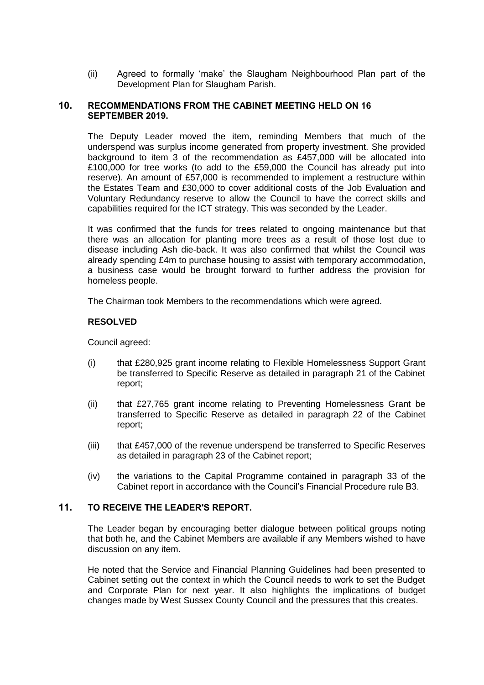(ii) Agreed to formally 'make' the Slaugham Neighbourhood Plan part of the Development Plan for Slaugham Parish.

### **10. RECOMMENDATIONS FROM THE CABINET MEETING HELD ON 16 SEPTEMBER 2019.**

The Deputy Leader moved the item, reminding Members that much of the underspend was surplus income generated from property investment. She provided background to item 3 of the recommendation as £457,000 will be allocated into £100,000 for tree works (to add to the £59,000 the Council has already put into reserve). An amount of £57,000 is recommended to implement a restructure within the Estates Team and £30,000 to cover additional costs of the Job Evaluation and Voluntary Redundancy reserve to allow the Council to have the correct skills and capabilities required for the ICT strategy. This was seconded by the Leader.

It was confirmed that the funds for trees related to ongoing maintenance but that there was an allocation for planting more trees as a result of those lost due to disease including Ash die-back. It was also confirmed that whilst the Council was already spending £4m to purchase housing to assist with temporary accommodation, a business case would be brought forward to further address the provision for homeless people.

The Chairman took Members to the recommendations which were agreed.

# **RESOLVED**

Council agreed:

- (i) that £280,925 grant income relating to Flexible Homelessness Support Grant be transferred to Specific Reserve as detailed in paragraph 21 of the Cabinet report;
- (ii) that £27,765 grant income relating to Preventing Homelessness Grant be transferred to Specific Reserve as detailed in paragraph 22 of the Cabinet report;
- (iii) that £457,000 of the revenue underspend be transferred to Specific Reserves as detailed in paragraph 23 of the Cabinet report;
- (iv) the variations to the Capital Programme contained in paragraph 33 of the Cabinet report in accordance with the Council's Financial Procedure rule B3.

# **11. TO RECEIVE THE LEADER'S REPORT.**

The Leader began by encouraging better dialogue between political groups noting that both he, and the Cabinet Members are available if any Members wished to have discussion on any item.

He noted that the Service and Financial Planning Guidelines had been presented to Cabinet setting out the context in which the Council needs to work to set the Budget and Corporate Plan for next year. It also highlights the implications of budget changes made by West Sussex County Council and the pressures that this creates.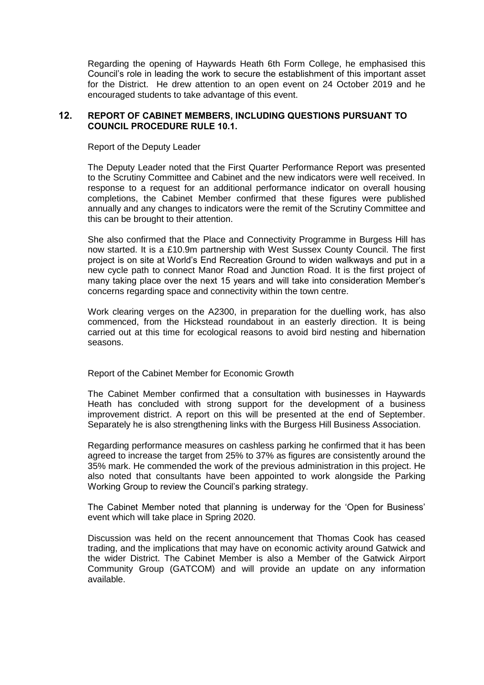Regarding the opening of Haywards Heath 6th Form College, he emphasised this Council's role in leading the work to secure the establishment of this important asset for the District. He drew attention to an open event on 24 October 2019 and he encouraged students to take advantage of this event.

### **12. REPORT OF CABINET MEMBERS, INCLUDING QUESTIONS PURSUANT TO COUNCIL PROCEDURE RULE 10.1.**

Report of the Deputy Leader

The Deputy Leader noted that the First Quarter Performance Report was presented to the Scrutiny Committee and Cabinet and the new indicators were well received. In response to a request for an additional performance indicator on overall housing completions, the Cabinet Member confirmed that these figures were published annually and any changes to indicators were the remit of the Scrutiny Committee and this can be brought to their attention.

She also confirmed that the Place and Connectivity Programme in Burgess Hill has now started. It is a £10.9m partnership with West Sussex County Council. The first project is on site at World's End Recreation Ground to widen walkways and put in a new cycle path to connect Manor Road and Junction Road. It is the first project of many taking place over the next 15 years and will take into consideration Member's concerns regarding space and connectivity within the town centre.

Work clearing verges on the A2300, in preparation for the duelling work, has also commenced, from the Hickstead roundabout in an easterly direction. It is being carried out at this time for ecological reasons to avoid bird nesting and hibernation seasons.

Report of the Cabinet Member for Economic Growth

The Cabinet Member confirmed that a consultation with businesses in Haywards Heath has concluded with strong support for the development of a business improvement district. A report on this will be presented at the end of September. Separately he is also strengthening links with the Burgess Hill Business Association.

Regarding performance measures on cashless parking he confirmed that it has been agreed to increase the target from 25% to 37% as figures are consistently around the 35% mark. He commended the work of the previous administration in this project. He also noted that consultants have been appointed to work alongside the Parking Working Group to review the Council's parking strategy.

The Cabinet Member noted that planning is underway for the 'Open for Business' event which will take place in Spring 2020.

Discussion was held on the recent announcement that Thomas Cook has ceased trading, and the implications that may have on economic activity around Gatwick and the wider District. The Cabinet Member is also a Member of the Gatwick Airport Community Group (GATCOM) and will provide an update on any information available.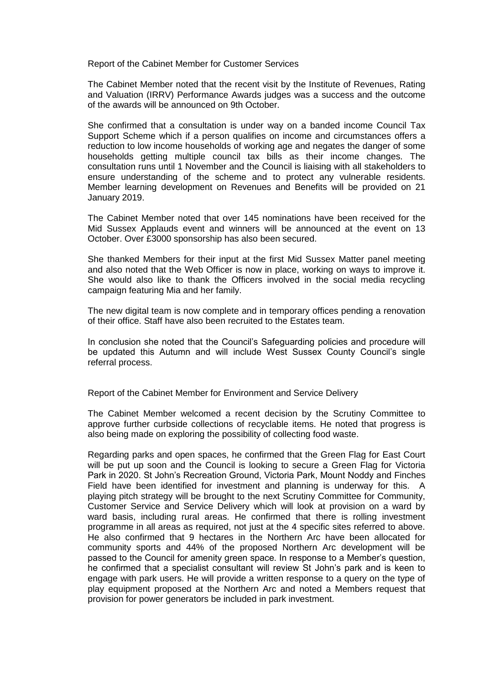Report of the Cabinet Member for Customer Services

The Cabinet Member noted that the recent visit by the Institute of Revenues, Rating and Valuation (IRRV) Performance Awards judges was a success and the outcome of the awards will be announced on 9th October.

She confirmed that a consultation is under way on a banded income Council Tax Support Scheme which if a person qualifies on income and circumstances offers a reduction to low income households of working age and negates the danger of some households getting multiple council tax bills as their income changes. The consultation runs until 1 November and the Council is liaising with all stakeholders to ensure understanding of the scheme and to protect any vulnerable residents. Member learning development on Revenues and Benefits will be provided on 21 January 2019.

The Cabinet Member noted that over 145 nominations have been received for the Mid Sussex Applauds event and winners will be announced at the event on 13 October. Over £3000 sponsorship has also been secured.

She thanked Members for their input at the first Mid Sussex Matter panel meeting and also noted that the Web Officer is now in place, working on ways to improve it. She would also like to thank the Officers involved in the social media recycling campaign featuring Mia and her family.

The new digital team is now complete and in temporary offices pending a renovation of their office. Staff have also been recruited to the Estates team.

In conclusion she noted that the Council's Safeguarding policies and procedure will be updated this Autumn and will include West Sussex County Council's single referral process.

Report of the Cabinet Member for Environment and Service Delivery

The Cabinet Member welcomed a recent decision by the Scrutiny Committee to approve further curbside collections of recyclable items. He noted that progress is also being made on exploring the possibility of collecting food waste.

Regarding parks and open spaces, he confirmed that the Green Flag for East Court will be put up soon and the Council is looking to secure a Green Flag for Victoria Park in 2020. St John's Recreation Ground, Victoria Park, Mount Noddy and Finches Field have been identified for investment and planning is underway for this. A playing pitch strategy will be brought to the next Scrutiny Committee for Community, Customer Service and Service Delivery which will look at provision on a ward by ward basis, including rural areas. He confirmed that there is rolling investment programme in all areas as required, not just at the 4 specific sites referred to above. He also confirmed that 9 hectares in the Northern Arc have been allocated for community sports and 44% of the proposed Northern Arc development will be passed to the Council for amenity green space. In response to a Member's question, he confirmed that a specialist consultant will review St John's park and is keen to engage with park users. He will provide a written response to a query on the type of play equipment proposed at the Northern Arc and noted a Members request that provision for power generators be included in park investment.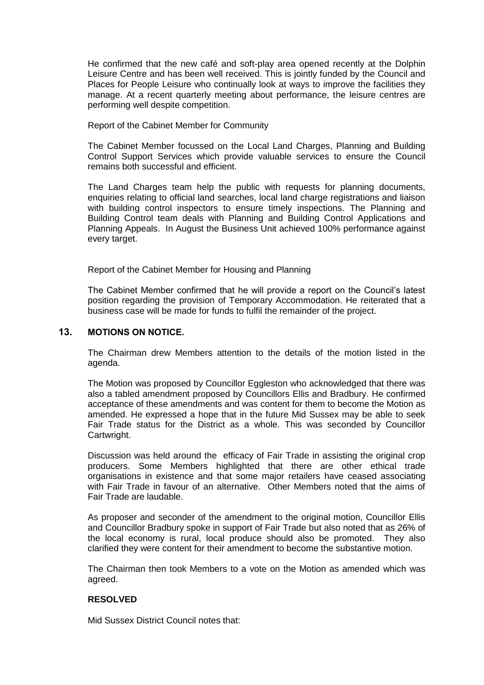He confirmed that the new café and soft-play area opened recently at the Dolphin Leisure Centre and has been well received. This is jointly funded by the Council and Places for People Leisure who continually look at ways to improve the facilities they manage. At a recent quarterly meeting about performance, the leisure centres are performing well despite competition.

#### Report of the Cabinet Member for Community

The Cabinet Member focussed on the Local Land Charges, Planning and Building Control Support Services which provide valuable services to ensure the Council remains both successful and efficient.

The Land Charges team help the public with requests for planning documents, enquiries relating to official land searches, local land charge registrations and liaison with building control inspectors to ensure timely inspections. The Planning and Building Control team deals with Planning and Building Control Applications and Planning Appeals. In August the Business Unit achieved 100% performance against every target.

Report of the Cabinet Member for Housing and Planning

The Cabinet Member confirmed that he will provide a report on the Council's latest position regarding the provision of Temporary Accommodation. He reiterated that a business case will be made for funds to fulfil the remainder of the project.

### **13. MOTIONS ON NOTICE.**

The Chairman drew Members attention to the details of the motion listed in the agenda.

The Motion was proposed by Councillor Eggleston who acknowledged that there was also a tabled amendment proposed by Councillors Ellis and Bradbury. He confirmed acceptance of these amendments and was content for them to become the Motion as amended. He expressed a hope that in the future Mid Sussex may be able to seek Fair Trade status for the District as a whole. This was seconded by Councillor Cartwright.

Discussion was held around the efficacy of Fair Trade in assisting the original crop producers. Some Members highlighted that there are other ethical trade organisations in existence and that some major retailers have ceased associating with Fair Trade in favour of an alternative. Other Members noted that the aims of Fair Trade are laudable.

As proposer and seconder of the amendment to the original motion, Councillor Ellis and Councillor Bradbury spoke in support of Fair Trade but also noted that as 26% of the local economy is rural, local produce should also be promoted. They also clarified they were content for their amendment to become the substantive motion.

The Chairman then took Members to a vote on the Motion as amended which was agreed.

#### **RESOLVED**

Mid Sussex District Council notes that: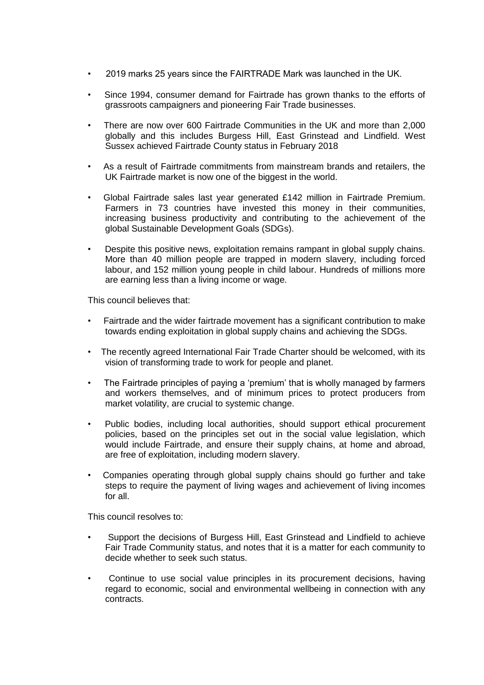- 2019 marks 25 years since the FAIRTRADE Mark was launched in the UK.
- Since 1994, consumer demand for Fairtrade has grown thanks to the efforts of grassroots campaigners and pioneering Fair Trade businesses.
- There are now over 600 Fairtrade Communities in the UK and more than 2,000 globally and this includes Burgess Hill, East Grinstead and Lindfield. West Sussex achieved Fairtrade County status in February 2018
- As a result of Fairtrade commitments from mainstream brands and retailers, the UK Fairtrade market is now one of the biggest in the world.
- Global Fairtrade sales last year generated £142 million in Fairtrade Premium. Farmers in 73 countries have invested this money in their communities, increasing business productivity and contributing to the achievement of the global Sustainable Development Goals (SDGs).
- Despite this positive news, exploitation remains rampant in global supply chains. More than 40 million people are trapped in modern slavery, including forced labour, and 152 million young people in child labour. Hundreds of millions more are earning less than a living income or wage.

This council believes that:

- Fairtrade and the wider fairtrade movement has a significant contribution to make towards ending exploitation in global supply chains and achieving the SDGs.
- The recently agreed International Fair Trade Charter should be welcomed, with its vision of transforming trade to work for people and planet.
- The Fairtrade principles of paying a 'premium' that is wholly managed by farmers and workers themselves, and of minimum prices to protect producers from market volatility, are crucial to systemic change.
- Public bodies, including local authorities, should support ethical procurement policies, based on the principles set out in the social value legislation, which would include Fairtrade, and ensure their supply chains, at home and abroad, are free of exploitation, including modern slavery.
- Companies operating through global supply chains should go further and take steps to require the payment of living wages and achievement of living incomes for all.

This council resolves to:

- Support the decisions of Burgess Hill, East Grinstead and Lindfield to achieve Fair Trade Community status, and notes that it is a matter for each community to decide whether to seek such status.
- Continue to use social value principles in its procurement decisions, having regard to economic, social and environmental wellbeing in connection with any contracts.